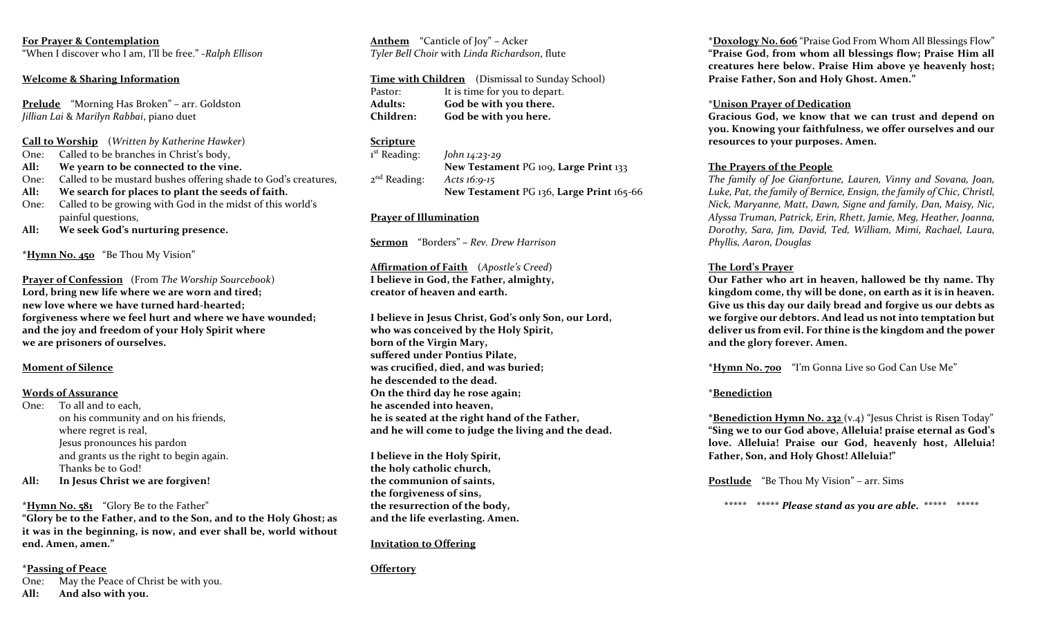# **For Prayer & Contemplation**

"When I discover who I am, I'll be free." -*Ralph Ellison*

## **Welcome & Sharing Information**

**Prelude** "Morning Has Broken" – arr. Goldston *Jillian Lai* & *Marilyn Rabbai*, piano duet

- **Call to Worship** (*Written by Katherine Hawker*)
- One: Called to be branches in Christ's body,
- **All: We yearn to be connected to the vine.**
- One: Called to be mustard bushes offering shade to God's creatures,
- **All: We search for places to plant the seeds of faith.**
- One: Called to be growing with God in the midst of this world's painful questions,
- **All: We seek God's nurturing presence.**

**\*Hymn No. 450** "Be Thou My Vision"

**Prayer of Confession** (From *The Worship Sourcebook*) **Lord, bring new life where we are worn and tired; new love where we have turned hard-hearted; forgiveness where we feel hurt and where we have wounded; and the joy and freedom of your Holy Spirit where we are prisoners of ourselves.** 

### **Moment of Silence**

## **Words of Assurance**

- One: To all and to each, on his community and on his friends, where regret is real, Jesus pronounces his pardon and grants us the right to begin again. Thanks be to God!
- **All: In Jesus Christ we are forgiven!**

### **\*Hymn No. 581** "Glory Be to the Father"

**"Glory be to the Father, and to the Son, and to the Holy Ghost; as it was in the beginning, is now, and ever shall be, world without end. Amen, amen."**

### **\*Passing of Peace**

One: May the Peace of Christ be with you. **All: And also with you.** 

**Anthem** "Canticle of Joy" – Acker *Tyler Bell Choir* with *Linda Richardson*, flute

|                | <b>Time with Children</b> (Dismissal to Sunday School) |  |
|----------------|--------------------------------------------------------|--|
| Pastor:        | It is time for you to depart.                          |  |
| <b>Adults:</b> | God be with you there.                                 |  |
| Children:      | God be with you here.                                  |  |

# **Scripture**

 $1<sup>st</sup>$  Reading: st Reading: *John 14:23-29* **New Testament** PG 109, **Large Print** 133  $2<sup>nd</sup>$  Reading: Acts *16:9-15* **New Testament** PG 136, **Large Print** 165-66

# **Prayer of Illumination**

**Sermon** "Borders" **–** *Rev. Drew Harrison*

**Affirmation of Faith** (*Apostle's Creed*) **I believe in God, the Father, almighty, creator of heaven and earth.** 

**I believe in Jesus Christ, God's only Son, our Lord, who was conceived by the Holy Spirit, born of the Virgin Mary, suffered under Pontius Pilate, was crucified, died, and was buried; he descended to the dead. On the third day he rose again; he ascended into heaven, he is seated at the right hand of the Father, and he will come to judge the living and the dead.** 

**I believe in the Holy Spirit, the holy catholic church, the communion of saints, the forgiveness of sins, the resurrection of the body, and the life everlasting. Amen.** 

### **Invitation to Offering**

**Offertory**

**\*Doxology No. 606** "Praise God From Whom All Blessings Flow" **"Praise God, from whom all blessings flow; Praise Him all creatures here below. Praise Him above ye heavenly host; Praise Father, Son and Holy Ghost. Amen."**

## \***Unison Prayer of Dedication**

**Gracious God, we know that we can trust and depend on you. Knowing your faithfulness, we offer ourselves and our resources to your purposes. Amen.** 

# **The Prayers of the People**

*The family of Joe Gianfortune, Lauren, Vinny and Sovana, Joan, Luke, Pat, the family of Bernice, Ensign, the family of Chic, Christl, Nick, Maryanne, Matt, Dawn, Signe and family, Dan, Maisy, Nic, Alyssa Truman, Patrick, Erin, Rhett, Jamie, Meg, Heather, Joanna, Dorothy, Sara, Jim, David, Ted, William, Mimi, Rachael, Laura, Phyllis, Aaron, Douglas* 

## **The Lord's Prayer**

**Our Father who art in heaven, hallowed be thy name. Thy kingdom come, thy will be done, on earth as it is in heaven. Give us this day our daily bread and forgive us our debts as we forgive our debtors. And lead us not into temptation but deliver us from evil. For thine is the kingdom and the power and the glory forever. Amen.**

**\*Hymn No. 700** "I'm Gonna Live so God Can Use Me"

# **\*Benediction**

**\*Benediction Hymn No. 232** (v.4) "Jesus Christ is Risen Today" **"Sing we to our God above, Alleluia! praise eternal as God's love. Alleluia! Praise our God, heavenly host, Alleluia! Father, Son, and Holy Ghost! Alleluia!"**

**Postlude** "Be Thou My Vision" – arr. Sims

**\*\*\*\*\* \*\*\*\*\*** *Please stand as you are able.* **\*\*\*\*\* \*\*\*\*\***